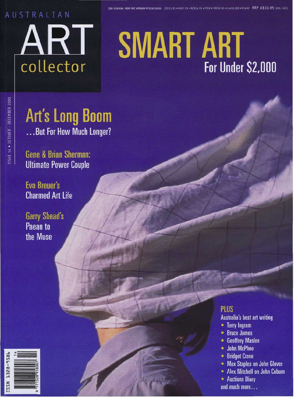### AUSTRALIAN



#### . NZ\$14.95 . FF69 . DM19.90 . Lire19.000 . ¥1400 RRP A\$10.95 (incl. GST)

# **SMART ART** For Under \$2,000

### **Art's Long Boom** ...But For How Much Longer?

**Gene & Brian Sherman: Ultimate Power Couple** 

**Eva Breuer's Charmed Art Life** 

**Garry Shead's** Paean to the Muse

### **PLUS**

**Australia's best art writing** 

- Terry Ingram
- **Bruce James**  $\bullet$
- **Geoffrey Maslen**  $\bullet$
- **John McPhee**  $\bullet$
- **Bridget Crone**
- **Max Staples on John Glover**
- **Alex Mitchell on John Coburn**
- Auctions Diarv and much more...

SSUE 14 . OCTOBER - DECEMBER 2000

1528-B5ET NSSI